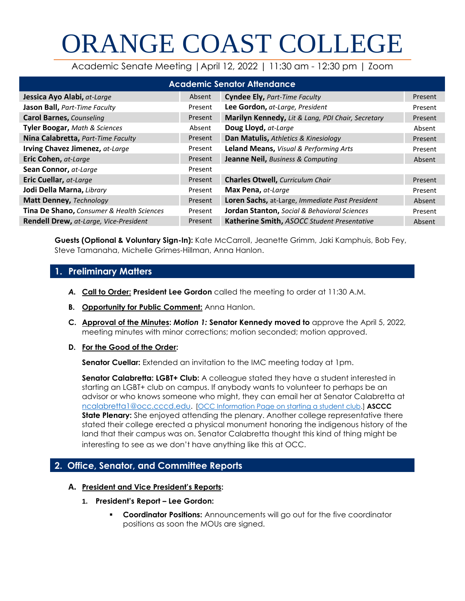# ORANGE COAST COLLEGE

Academic Senate Meeting |April 12, 2022 | 11:30 am - 12:30 pm | Zoom

| <b>Academic Senator Attendance</b>            |         |                                                         |         |  |
|-----------------------------------------------|---------|---------------------------------------------------------|---------|--|
| Jessica Ayo Alabi, at-Large                   | Absent  | <b>Cyndee Ely, Part-Time Faculty</b>                    | Present |  |
| Jason Ball, Part-Time Faculty                 | Present | Lee Gordon, at-Large, President                         | Present |  |
| <b>Carol Barnes, Counseling</b>               | Present | Marilyn Kennedy, Lit & Lang, PDI Chair, Secretary       | Present |  |
| Tyler Boogar, Math & Sciences                 | Absent  | Doug Lloyd, at-Large                                    | Absent  |  |
| Nina Calabretta, Part-Time Faculty            | Present | Dan Matulis, Athletics & Kinesiology                    | Present |  |
| Irving Chavez Jimenez, at-Large               | Present | Leland Means, Visual & Performing Arts                  | Present |  |
| Eric Cohen, at-Large                          | Present | Jeanne Neil, Business & Computing                       | Absent  |  |
| Sean Connor, at-Large                         | Present |                                                         |         |  |
| Eric Cuellar, at-Large                        | Present | <b>Charles Otwell, Curriculum Chair</b>                 | Present |  |
| Jodi Della Marna, Library                     | Present | Max Pena, at-Large                                      | Present |  |
| <b>Matt Denney, Technology</b>                | Present | Loren Sachs, at-Large, Immediate Past President         | Absent  |  |
| Tina De Shano, Consumer & Health Sciences     | Present | <b>Jordan Stanton, Social &amp; Behavioral Sciences</b> | Present |  |
| <b>Rendell Drew, at-Large, Vice-President</b> | Present | Katherine Smith, ASOCC Student Presentative             | Absent  |  |

**Guests (Optional & Voluntary Sign-In):** Kate McCarroll, Jeanette Grimm, Jaki Kamphuis, Bob Fey, Steve Tamanaha, Michelle Grimes-Hillman, Anna Hanlon.

# **1. Preliminary Matters**

- *A.* **Call to Order: President Lee Gordon** called the meeting to order at 11:30 A.M.
- **B. Opportunity for Public Comment:** Anna Hanlon.
- **C. Approval of the Minutes:** *Motion 1:* **Senator Kennedy moved to** approve the April 5, 2022, meeting minutes with minor corrections; motion seconded; motion approved.
- **D. For the Good of the Order:**

**Senator Cuellar:** Extended an invitation to the IMC meeting today at 1pm.

**Senator Calabretta: LGBT+ Club:** A colleague stated they have a student interested in starting an LGBT+ club on campus. If anybody wants to volunteer to perhaps be an advisor or who knows someone who might, they can email her at Senator Calabretta at [ncalabretta1@occ.cccd.edu.](mailto:ncalabretta1@occ.cccd.edu) [\[OCC Information Page on starting a student club.](http://www.orangecoastcollege.edu/student_life/student-life-leadership/clubs/Pages/Starting-A-Club-And-Organization.aspx)] **ASCCC State Plenary:** She enjoyed attending the plenary. Another college representative there stated their college erected a physical monument honoring the indigenous history of the land that their campus was on. Senator Calabretta thought this kind of thing might be interesting to see as we don't have anything like this at OCC.

# **2. Office, Senator, and Committee Reports**

## **A. President and Vice President's Reports:**

- **1. President's Report – Lee Gordon:** 
	- **Coordinator Positions:** Announcements will go out for the five coordinator positions as soon the MOUs are signed.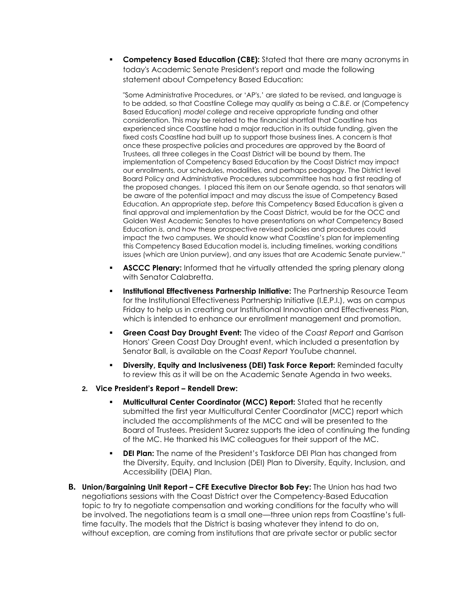**Competency Based Education (CBE):** Stated that there are many acronyms in today's Academic Senate President's report and made the following statement about Competency Based Education:

"Some Administrative Procedures, or 'AP's,' are slated to be revised, and language is to be added, so that Coastline College may qualify as being a *C.B.E*. or (Competency Based Education) *model college* and receive appropriate funding and other consideration. This may be related to the financial shortfall that Coastline has experienced since Coastline had a major reduction in its outside funding, given the fixed costs Coastline had built up to support those business lines. A concern is that once these prospective policies and procedures are approved by the Board of Trustees, all three colleges in the Coast District will be bound by them. The implementation of Competency Based Education by the Coast District may impact our enrollments, our schedules, modalities, and perhaps pedagogy. The District level Board Policy and Administrative Procedures subcommittee has had a first reading of the proposed changes. I placed this item on our Senate agenda, so that senators will be aware of the potential impact and may discuss the issue of Competency Based Education. An appropriate step, *before* this Competency Based Education is given a final approval and implementation by the Coast District, would be for the OCC and Golden West Academic Senates to have presentations on *what* Competency Based Education *is*, and how these prospective revised policies and procedures could impact the two campuses. We should know what Coastline's plan for implementing this Competency Based Education model is, including timelines, working conditions issues (which are Union purview), and any issues that are Academic Senate purview."

- **ASCCC Plenary:** Informed that he virtually attended the spring plenary along with Senator Calabretta.
- **Institutional Effectiveness Partnership Initiative:** The Partnership Resource Team for the Institutional Effectiveness Partnership Initiative (I.E.P.I.), was on campus Friday to help us in creating our Institutional Innovation and Effectiveness Plan, which is intended to enhance our enrollment management and promotion.
- **Green Coast Day Drought Event:** The video of the *Coast Report* and Garrison Honors' Green Coast Day Drought event, which included a presentation by Senator Ball, is available on the *Coast Report* YouTube channel.
- **Diversity, Equity and Inclusiveness (DEI) Task Force Report: Reminded faculty** to review this as it will be on the Academic Senate Agenda in two weeks.
- **2. Vice President's Report – Rendell Drew:** 
	- **Multicultural Center Coordinator (MCC) Report:** Stated that he recently submitted the first year Multicultural Center Coordinator (MCC) report which included the accomplishments of the MCC and will be presented to the Board of Trustees. President Suarez supports the idea of continuing the funding of the MC. He thanked his IMC colleagues for their support of the MC.
	- **DEI Plan:** The name of the President's Taskforce DEI Plan has changed from the Diversity, Equity, and Inclusion (DEI) Plan to Diversity, Equity, Inclusion, and Accessibility (DEIA) Plan.
- **B. Union/Bargaining Unit Report – CFE Executive Director Bob Fey:** The Union has had two negotiations sessions with the Coast District over the Competency-Based Education topic to try to negotiate compensation and working conditions for the faculty who will be involved. The negotiations team is a small one—three union reps from Coastline's fulltime faculty. The models that the District is basing whatever they intend to do on, without exception, are coming from institutions that are private sector or public sector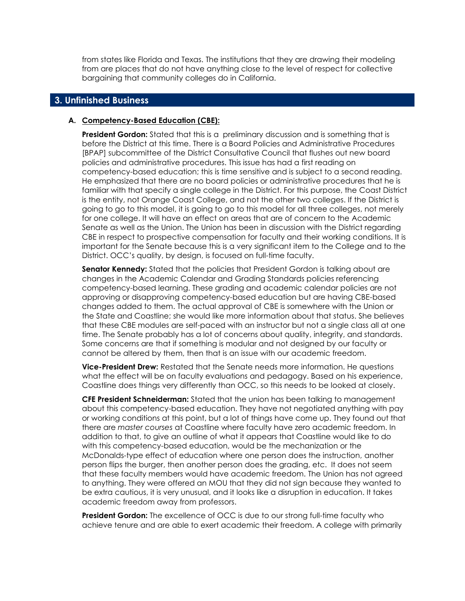from states like Florida and Texas. The institutions that they are drawing their modeling from are places that do not have anything close to the level of respect for collective bargaining that community colleges do in California.

## **3. Unfinished Business**

#### **A. Competency-Based Education (CBE):**

**President Gordon:** Stated that this is a preliminary discussion and is something that is before the District at this time. There is a Board Policies and Administrative Procedures [BPAP] subcommittee of the District Consultative Council that flushes out new board policies and administrative procedures. This issue has had a first reading on competency-based education; this is time sensitive and is subject to a second reading. He emphasized that there are no board policies or administrative procedures that he is familiar with that specify a single college in the District. For this purpose, the Coast District is the entity, not Orange Coast College, and not the other two colleges. If the District is going to go to this model, it is going to go to this model for all three colleges, not merely for one college. It will have an effect on areas that are of concern to the Academic Senate as well as the Union. The Union has been in discussion with the District regarding CBE in respect to prospective compensation for faculty and their working conditions. It is important for the Senate because this is a very significant item to the College and to the District. OCC's quality, by design, is focused on full-time faculty.

**Senator Kennedy:** Stated that the policies that President Gordon is talking about are changes in the Academic Calendar and Grading Standards policies referencing competency-based learning. These grading and academic calendar policies are not approving or disapproving competency-based education but are having CBE-based changes added to them. The actual approval of CBE is somewhere with the Union or the State and Coastline; she would like more information about that status. She believes that these CBE modules are self-paced with an instructor but not a single class all at one time. The Senate probably has a lot of concerns about quality, integrity, and standards. Some concerns are that if something is modular and not designed by our faculty or cannot be altered by them, then that is an issue with our academic freedom.

**Vice-President Drew:** Restated that the Senate needs more information. He questions what the effect will be on faculty evaluations and pedagogy. Based on his experience, Coastline does things very differently than OCC, so this needs to be looked at closely.

**CFE President Schneiderman:** Stated that the union has been talking to management about this competency-based education. They have not negotiated anything with pay or working conditions at this point, but a lot of things have come up. They found out that there are *master courses* at Coastline where faculty have zero academic freedom. In addition to that, to give an outline of what it appears that Coastline would like to do with this competency-based education, would be the mechanization or the McDonalds-type effect of education where one person does the instruction, another person flips the burger, then another person does the grading, etc. It does not seem that these faculty members would have academic freedom. The Union has not agreed to anything. They were offered an MOU that they did not sign because they wanted to be extra cautious, it is very unusual, and it looks like a disruption in education. It takes academic freedom away from professors.

**President Gordon:** The excellence of OCC is due to our strong full-time faculty who achieve tenure and are able to exert academic their freedom. A college with primarily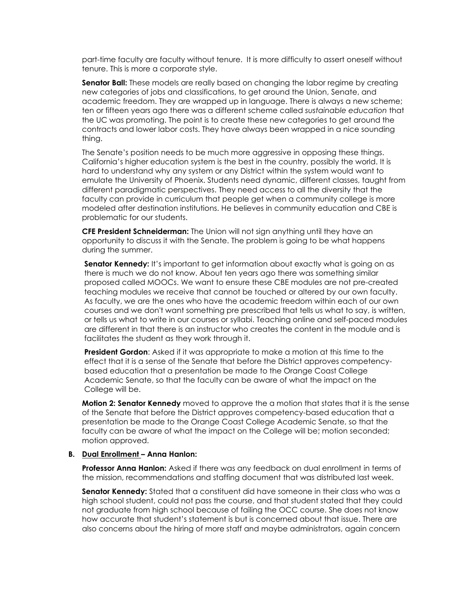part-time faculty are faculty without tenure. It is more difficulty to assert oneself without tenure. This is more a corporate style.

**Senator Ball:** These models are really based on changing the labor regime by creating new categories of jobs and classifications, to get around the Union, Senate, and academic freedom. They are wrapped up in language. There is always a new scheme; ten or fifteen years ago there was a different scheme called *sustainable education* that the UC was promoting. The point is to create these new categories to get around the contracts and lower labor costs. They have always been wrapped in a nice sounding thing.

The Senate's position needs to be much more aggressive in opposing these things. California's higher education system is the best in the country, possibly the world. It is hard to understand why any system or any District within the system would want to emulate the University of Phoenix. Students need dynamic, different classes, taught from different paradigmatic perspectives. They need access to all the diversity that the faculty can provide in curriculum that people get when a community college is more modeled after destination institutions. He believes in community education and CBE is problematic for our students.

**CFE President Schneiderman:** The Union will not sign anything until they have an opportunity to discuss it with the Senate. The problem is going to be what happens during the summer.

**Senator Kennedy:** It's important to get information about exactly what is going on as there is much we do not know. About ten years ago there was something similar proposed called MOOCs. We want to ensure these CBE modules are not pre-created teaching modules we receive that cannot be touched or altered by our own faculty. As faculty, we are the ones who have the academic freedom within each of our own courses and we don't want something pre prescribed that tells us what to say, is written, or tells us what to write in our courses or syllabi. Teaching online and self-paced modules are different in that there is an instructor who creates the content in the module and is facilitates the student as they work through it.

**President Gordon:** Asked if it was appropriate to make a motion at this time to the effect that it is a sense of the Senate that before the District approves competencybased education that a presentation be made to the Orange Coast College Academic Senate, so that the faculty can be aware of what the impact on the College will be.

**Motion 2: Senator Kennedy** moved to approve the a motion that states that it is the sense of the Senate that before the District approves competency-based education that a presentation be made to the Orange Coast College Academic Senate, so that the faculty can be aware of what the impact on the College will be; motion seconded; motion approved.

#### **B. Dual Enrollment – Anna Hanlon:**

**Professor Anna Hanlon:** Asked if there was any feedback on dual enrollment in terms of the mission, recommendations and staffing document that was distributed last week.

**Senator Kennedy:** Stated that a constituent did have someone in their class who was a high school student, could not pass the course, and that student stated that they could not graduate from high school because of failing the OCC course. She does not know how accurate that student's statement is but is concerned about that issue. There are also concerns about the hiring of more staff and maybe administrators, again concern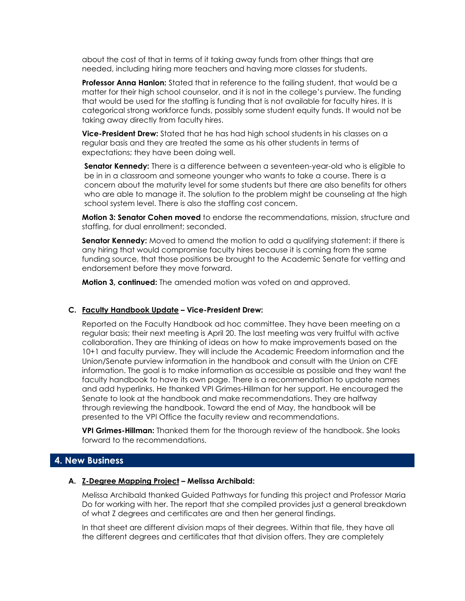about the cost of that in terms of it taking away funds from other things that are needed, including hiring more teachers and having more classes for students.

**Professor Anna Hanlon:** Stated that in reference to the failing student, that would be a matter for their high school counselor, and it is not in the college's purview. The funding that would be used for the staffing is funding that is not available for faculty hires. It is categorical strong workforce funds, possibly some student equity funds. It would not be taking away directly from faculty hires.

**Vice-President Drew:** Stated that he has had high school students in his classes on a regular basis and they are treated the same as his other students in terms of expectations; they have been doing well.

**Senator Kennedy:** There is a difference between a seventeen-year-old who is eligible to be in in a classroom and someone younger who wants to take a course. There is a concern about the maturity level for some students but there are also benefits for others who are able to manage it. The solution to the problem might be counseling at the high school system level. There is also the staffing cost concern.

**Motion 3: Senator Cohen moved** to endorse the recommendations, mission, structure and staffing, for dual enrollment; seconded.

**Senator Kennedy:** Moved to amend the motion to add a qualifying statement: if there is any hiring that would compromise faculty hires because it is coming from the same funding source, that those positions be brought to the Academic Senate for vetting and endorsement before they move forward.

**Motion 3, continued:** The amended motion was voted on and approved.

#### **C. Faculty Handbook Update – Vice-President Drew:**

Reported on the Faculty Handbook ad hoc committee. They have been meeting on a regular basis; their next meeting is April 20. The last meeting was very fruitful with active collaboration. They are thinking of ideas on how to make improvements based on the 10+1 and faculty purview. They will include the Academic Freedom information and the Union/Senate purview information in the handbook and consult with the Union on CFE information. The goal is to make information as accessible as possible and they want the faculty handbook to have its own page. There is a recommendation to update names and add hyperlinks. He thanked VPI Grimes-Hillman for her support. He encouraged the Senate to look at the handbook and make recommendations. They are halfway through reviewing the handbook. Toward the end of May, the handbook will be presented to the VPI Office the faculty review and recommendations.

**VPI Grimes-Hillman:** Thanked them for the thorough review of the handbook. She looks forward to the recommendations.

# **4. New Business**

#### **A. Z-Degree Mapping Project – Melissa Archibald:**

Melissa Archibald thanked Guided Pathways for funding this project and Professor Maria Do for working with her. The report that she compiled provides just a general breakdown of what Z degrees and certificates are and then her general findings.

In that sheet are different division maps of their degrees. Within that file, they have all the different degrees and certificates that that division offers. They are completely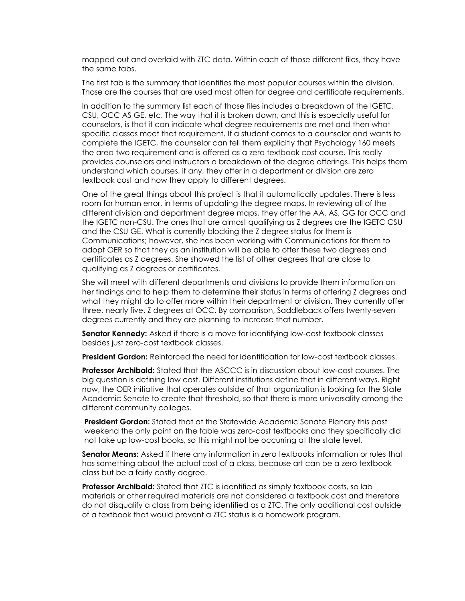mapped out and overlaid with ZTC data. Within each of those different files, they have the same tabs.

The first tab is the summary that identifies the most popular courses within the division. Those are the courses that are used most often for degree and certificate requirements.

In addition to the summary list each of those files includes a breakdown of the IGETC, CSU, OCC AS GE, etc. The way that it is broken down, and this is especially useful for counselors, is that it can indicate what degree requirements are met and then what specific classes meet that requirement. If a student comes to a counselor and wants to complete the IGETC, the counselor can tell them explicitly that Psychology 160 meets the area two requirement and is offered as a zero textbook cost course. This really provides counselors and instructors a breakdown of the degree offerings. This helps them understand which courses, if any, they offer in a department or division are zero textbook cost and how they apply to different degrees.

One of the great things about this project is that it automatically updates. There is less room for human error, in terms of updating the degree maps. In reviewing all of the different division and department degree maps, they offer the AA, AS, GG for OCC and the IGETC non-CSU. The ones that are almost qualifying as Z degrees are the IGETC CSU and the CSU GE. What is currently blocking the Z degree status for them is Communications; however, she has been working with Communications for them to adopt OER so that they as an institution will be able to offer these two degrees and certificates as Z degrees. She showed the list of other degrees that are close to qualifying as Z degrees or certificates.

She will meet with different departments and divisions to provide them information on her findings and to help them to determine their status in terms of offering Z degrees and what they might do to offer more within their department or division. They currently offer three, nearly five, Z degrees at OCC. By comparison, Saddleback offers twenty-seven degrees currently and they are planning to increase that number.

**Senator Kennedy:** Asked if there is a move for identifying low-cost textbook classes besides just zero-cost textbook classes.

**President Gordon:** Reinforced the need for identification for low-cost textbook classes.

**Professor Archibald:** Stated that the ASCCC is in discussion about low-cost courses. The big question is defining low cost. Different institutions define that in different ways. Right now, the OER initiative that operates outside of that organization is looking for the State Academic Senate to create that threshold, so that there is more universality among the different community colleges.

**President Gordon:** Stated that at the Statewide Academic Senate Plenary this past weekend the only point on the table was zero-cost textbooks and they specifically did not take up low-cost books, so this might not be occurring at the state level.

**Senator Means:** Asked if there any information in zero textbooks information or rules that has something about the actual cost of a class, because art can be a zero textbook class but be a fairly costly degree.

**Professor Archibald:** Stated that ZTC is identified as simply textbook costs, so lab materials or other required materials are not considered a textbook cost and therefore do not disqualify a class from being identified as a ZTC. The only additional cost outside of a textbook that would prevent a ZTC status is a homework program.